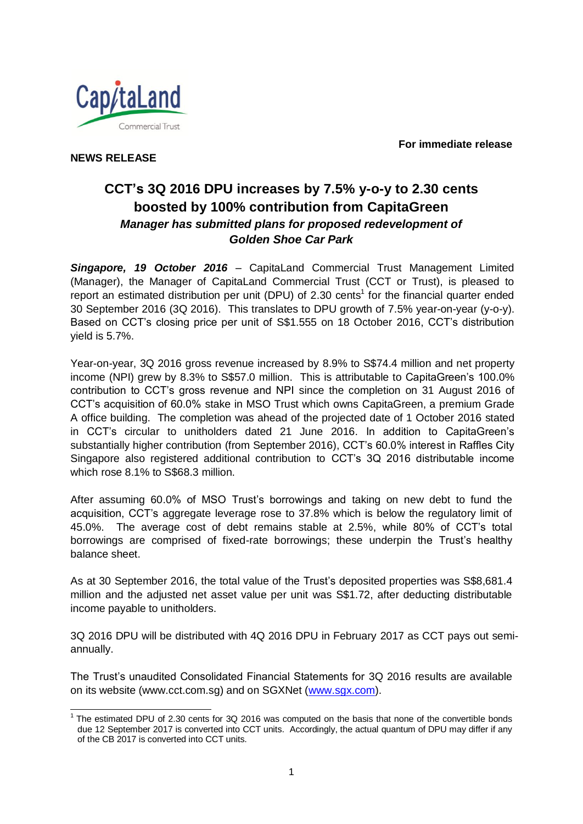**For immediate release**



**NEWS RELEASE**

# **CCT's 3Q 2016 DPU increases by 7.5% y-o-y to 2.30 cents boosted by 100% contribution from CapitaGreen** *Manager has submitted plans for proposed redevelopment of Golden Shoe Car Park*

*Singapore, 19 October 2016* – CapitaLand Commercial Trust Management Limited (Manager), the Manager of CapitaLand Commercial Trust (CCT or Trust), is pleased to report an estimated distribution per unit (DPU) of 2.30 cents<sup>1</sup> for the financial quarter ended 30 September 2016 (3Q 2016). This translates to DPU growth of 7.5% year-on-year (y-o-y). Based on CCT's closing price per unit of S\$1.555 on 18 October 2016, CCT's distribution yield is 5.7%.

Year-on-year, 3Q 2016 gross revenue increased by 8.9% to S\$74.4 million and net property income (NPI) grew by 8.3% to S\$57.0 million. This is attributable to CapitaGreen's 100.0% contribution to CCT's gross revenue and NPI since the completion on 31 August 2016 of CCT's acquisition of 60.0% stake in MSO Trust which owns CapitaGreen, a premium Grade A office building. The completion was ahead of the projected date of 1 October 2016 stated in CCT's circular to unitholders dated 21 June 2016. In addition to CapitaGreen's substantially higher contribution (from September 2016), CCT's 60.0% interest in Raffles City Singapore also registered additional contribution to CCT's 3Q 2016 distributable income which rose 8.1% to S\$68.3 million.

After assuming 60.0% of MSO Trust's borrowings and taking on new debt to fund the acquisition, CCT's aggregate leverage rose to 37.8% which is below the regulatory limit of 45.0%. The average cost of debt remains stable at 2.5%, while 80% of CCT's total borrowings are comprised of fixed-rate borrowings; these underpin the Trust's healthy balance sheet.

As at 30 September 2016, the total value of the Trust's deposited properties was S\$8,681.4 million and the adjusted net asset value per unit was S\$1.72, after deducting distributable income payable to unitholders.

3Q 2016 DPU will be distributed with 4Q 2016 DPU in February 2017 as CCT pays out semiannually.

The Trust's unaudited Consolidated Financial Statements for 3Q 2016 results are available on its website (www.cct.com.sg) and on SGXNet [\(www.sgx.com\)](http://www.sgx.com/).

 1 The estimated DPU of 2.30 cents for 3Q 2016 was computed on the basis that none of the convertible bonds due 12 September 2017 is converted into CCT units. Accordingly, the actual quantum of DPU may differ if any of the CB 2017 is converted into CCT units.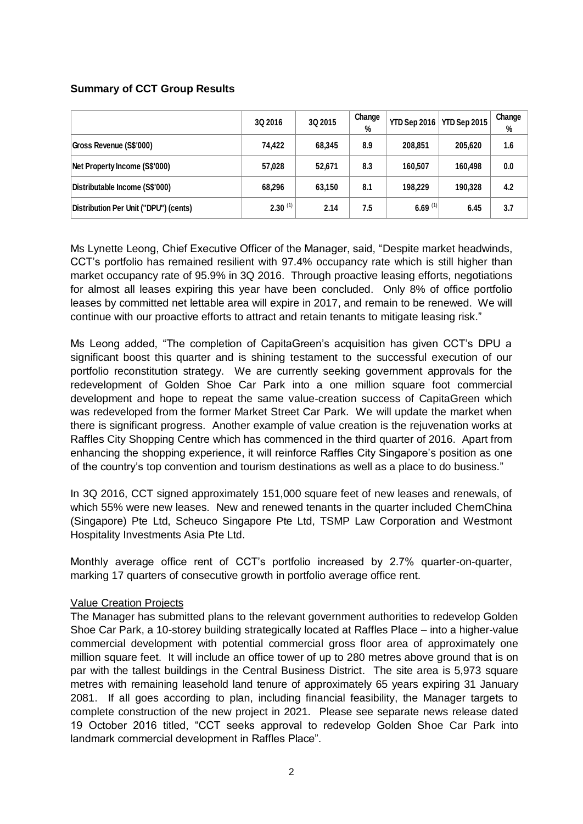#### **Summary of CCT Group Results**

|                                       | 3Q 2016      | 3Q 2015 | Change<br>% | YTD Sep 2016 | YTD Sep 2015 | Change<br>% |
|---------------------------------------|--------------|---------|-------------|--------------|--------------|-------------|
| Gross Revenue (S\$'000)               | 74.422       | 68,345  | 8.9         | 208.851      | 205.620      | 1.6         |
| Net Property Income (S\$'000)         | 57,028       | 52,671  | 8.3         | 160.507      | 160,498      | 0.0         |
| Distributable Income (S\$'000)        | 68,296       | 63,150  | 8.1         | 198.229      | 190,328      | 4.2         |
| Distribution Per Unit ("DPU") (cents) | $2.30^{(1)}$ | 2.14    | 7.5         | 6.69 $(1)$   | 6.45         | 3.7         |

Ms Lynette Leong, Chief Executive Officer of the Manager, said, "Despite market headwinds, CCT's portfolio has remained resilient with 97.4% occupancy rate which is still higher than market occupancy rate of 95.9% in 3Q 2016. Through proactive leasing efforts, negotiations for almost all leases expiring this year have been concluded. Only 8% of office portfolio leases by committed net lettable area will expire in 2017, and remain to be renewed. We will continue with our proactive efforts to attract and retain tenants to mitigate leasing risk."

Ms Leong added, "The completion of CapitaGreen's acquisition has given CCT's DPU a significant boost this quarter and is shining testament to the successful execution of our portfolio reconstitution strategy. We are currently seeking government approvals for the redevelopment of Golden Shoe Car Park into a one million square foot commercial development and hope to repeat the same value-creation success of CapitaGreen which was redeveloped from the former Market Street Car Park. We will update the market when there is significant progress. Another example of value creation is the rejuvenation works at Raffles City Shopping Centre which has commenced in the third quarter of 2016. Apart from enhancing the shopping experience, it will reinforce Raffles City Singapore's position as one of the country's top convention and tourism destinations as well as a place to do business."

In 3Q 2016, CCT signed approximately 151,000 square feet of new leases and renewals, of which 55% were new leases. New and renewed tenants in the quarter included ChemChina (Singapore) Pte Ltd, Scheuco Singapore Pte Ltd, TSMP Law Corporation and Westmont Hospitality Investments Asia Pte Ltd.

Monthly average office rent of CCT's portfolio increased by 2.7% quarter-on-quarter, marking 17 quarters of consecutive growth in portfolio average office rent.

#### Value Creation Projects

The Manager has submitted plans to the relevant government authorities to redevelop Golden Shoe Car Park, a 10-storey building strategically located at Raffles Place – into a higher-value commercial development with potential commercial gross floor area of approximately one million square feet. It will include an office tower of up to 280 metres above ground that is on par with the tallest buildings in the Central Business District. The site area is 5,973 square metres with remaining leasehold land tenure of approximately 65 years expiring 31 January 2081. If all goes according to plan, including financial feasibility, the Manager targets to complete construction of the new project in 2021. Please see separate news release dated 19 October 2016 titled, "CCT seeks approval to redevelop Golden Shoe Car Park into landmark commercial development in Raffles Place".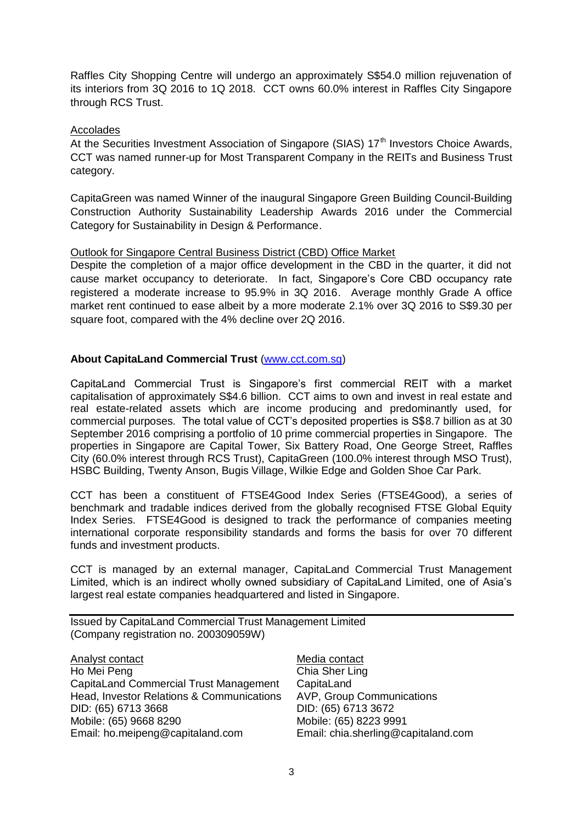Raffles City Shopping Centre will undergo an approximately S\$54.0 million rejuvenation of its interiors from 3Q 2016 to 1Q 2018. CCT owns 60.0% interest in Raffles City Singapore through RCS Trust.

#### Accolades

At the Securities Investment Association of Singapore (SIAS)  $17<sup>th</sup>$  Investors Choice Awards, CCT was named runner-up for Most Transparent Company in the REITs and Business Trust category.

CapitaGreen was named Winner of the inaugural Singapore Green Building Council-Building Construction Authority Sustainability Leadership Awards 2016 under the Commercial Category for Sustainability in Design & Performance.

### Outlook for Singapore Central Business District (CBD) Office Market

Despite the completion of a major office development in the CBD in the quarter, it did not cause market occupancy to deteriorate. In fact, Singapore's Core CBD occupancy rate registered a moderate increase to 95.9% in 3Q 2016. Average monthly Grade A office market rent continued to ease albeit by a more moderate 2.1% over 3Q 2016 to S\$9.30 per square foot, compared with the 4% decline over 2Q 2016.

## **About CapitaLand Commercial Trust** [\(www.cct.com.sg\)](http://www.cct.com.sg/)

CapitaLand Commercial Trust is Singapore's first commercial REIT with a market capitalisation of approximately S\$4.6 billion. CCT aims to own and invest in real estate and real estate-related assets which are income producing and predominantly used, for commercial purposes. The total value of CCT's deposited properties is S\$8.7 billion as at 30 September 2016 comprising a portfolio of 10 prime commercial properties in Singapore. The properties in Singapore are Capital Tower, Six Battery Road, One George Street, Raffles City (60.0% interest through RCS Trust), CapitaGreen (100.0% interest through MSO Trust), HSBC Building, Twenty Anson, Bugis Village, Wilkie Edge and Golden Shoe Car Park.

CCT has been a constituent of FTSE4Good Index Series (FTSE4Good), a series of benchmark and tradable indices derived from the globally recognised FTSE Global Equity Index Series. FTSE4Good is designed to track the performance of companies meeting international corporate responsibility standards and forms the basis for over 70 different funds and investment products.

CCT is managed by an external manager, CapitaLand Commercial Trust Management Limited, which is an indirect wholly owned subsidiary of CapitaLand Limited, one of Asia's largest real estate companies headquartered and listed in Singapore.

Issued by CapitaLand Commercial Trust Management Limited (Company registration no. 200309059W)

Analyst contact Ho Mei Peng CapitaLand Commercial Trust Management Head, Investor Relations & Communications DID: (65) 6713 3668 Mobile: (65) 9668 8290 Email: ho.meipeng@capitaland.com

Media contact Chia Sher Ling **CapitaLand** AVP, Group Communications DID: (65) 6713 3672 Mobile: (65) 8223 9991 Email: chia.sherling@capitaland.com